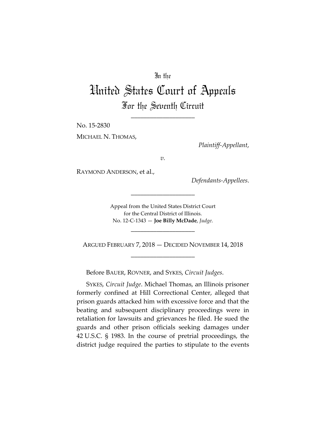## In the

# United States Court of Appeals For the Seventh Circuit

\_\_\_\_\_\_\_\_\_\_\_\_\_\_\_\_\_\_\_\_

No. 15-2830

MICHAEL N. THOMAS,

*Plaintiff-Appellant*,

*v.*

RAYMOND ANDERSON, et al.,

*Defendants-Appellees*.

Appeal from the United States District Court for the Central District of Illinois. No. 12-C-1343 — **Joe Billy McDade**, *Judge*.

\_\_\_\_\_\_\_\_\_\_\_\_\_\_\_\_\_\_\_\_

ARGUED FEBRUARY 7, 2018 — DECIDED NOVEMBER 14, 2018 \_\_\_\_\_\_\_\_\_\_\_\_\_\_\_\_\_\_\_\_

\_\_\_\_\_\_\_\_\_\_\_\_\_\_\_\_\_\_\_\_

Before BAUER, ROVNER, and SYKES, *Circuit Judges*.

SYKES, *Circuit Judge*. Michael Thomas, an Illinois prisoner formerly confined at Hill Correctional Center, alleged that prison guards attacked him with excessive force and that the beating and subsequent disciplinary proceedings were in retaliation for lawsuits and grievances he filed. He sued the guards and other prison officials seeking damages under 42 U.S.C. § 1983. In the course of pretrial proceedings, the district judge required the parties to stipulate to the events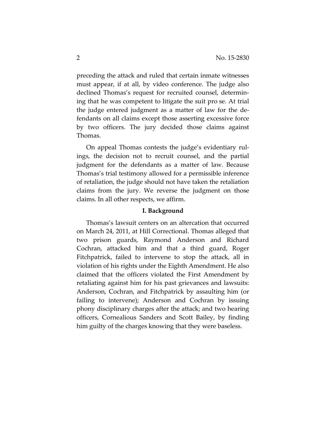preceding the attack and ruled that certain inmate witnesses must appear, if at all, by video conference. The judge also declined Thomas's request for recruited counsel, determining that he was competent to litigate the suit pro se. At trial the judge entered judgment as a matter of law for the defendants on all claims except those asserting excessive force by two officers. The jury decided those claims against Thomas.

On appeal Thomas contests the judge's evidentiary rulings, the decision not to recruit counsel, and the partial judgment for the defendants as a matter of law. Because Thomas's trial testimony allowed for a permissible inference of retaliation, the judge should not have taken the retaliation claims from the jury. We reverse the judgment on those claims. In all other respects, we affirm.

#### **I. Background**

Thomas's lawsuit centers on an altercation that occurred on March 24, 2011, at Hill Correctional. Thomas alleged that two prison guards, Raymond Anderson and Richard Cochran, attacked him and that a third guard, Roger Fitchpatrick, failed to intervene to stop the attack, all in violation of his rights under the Eighth Amendment. He also claimed that the officers violated the First Amendment by retaliating against him for his past grievances and lawsuits: Anderson, Cochran, and Fitchpatrick by assaulting him (or failing to intervene); Anderson and Cochran by issuing phony disciplinary charges after the attack; and two hearing officers, Cornealious Sanders and Scott Bailey, by finding him guilty of the charges knowing that they were baseless.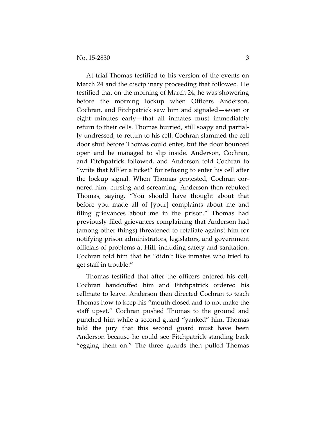At trial Thomas testified to his version of the events on March 24 and the disciplinary proceeding that followed. He testified that on the morning of March 24, he was showering before the morning lockup when Officers Anderson, Cochran, and Fitchpatrick saw him and signaled—seven or eight minutes early—that all inmates must immediately return to their cells. Thomas hurried, still soapy and partially undressed, to return to his cell. Cochran slammed the cell door shut before Thomas could enter, but the door bounced open and he managed to slip inside. Anderson, Cochran, and Fitchpatrick followed, and Anderson told Cochran to "write that MF'er a ticket" for refusing to enter his cell after the lockup signal. When Thomas protested, Cochran cornered him, cursing and screaming. Anderson then rebuked Thomas, saying, "You should have thought about that before you made all of [your] complaints about me and filing grievances about me in the prison." Thomas had previously filed grievances complaining that Anderson had (among other things) threatened to retaliate against him for notifying prison administrators, legislators, and government officials of problems at Hill, including safety and sanitation. Cochran told him that he "didn't like inmates who tried to get staff in trouble."

Thomas testified that after the officers entered his cell, Cochran handcuffed him and Fitchpatrick ordered his cellmate to leave. Anderson then directed Cochran to teach Thomas how to keep his "mouth closed and to not make the staff upset." Cochran pushed Thomas to the ground and punched him while a second guard "yanked" him. Thomas told the jury that this second guard must have been Anderson because he could see Fitchpatrick standing back "egging them on." The three guards then pulled Thomas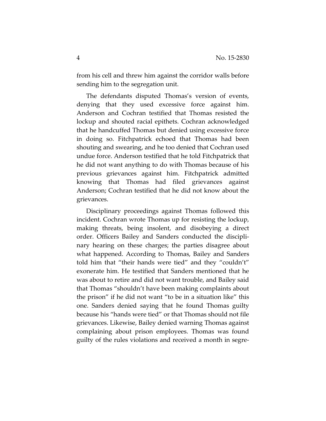from his cell and threw him against the corridor walls before sending him to the segregation unit.

The defendants disputed Thomas's version of events, denying that they used excessive force against him. Anderson and Cochran testified that Thomas resisted the lockup and shouted racial epithets. Cochran acknowledged that he handcuffed Thomas but denied using excessive force in doing so. Fitchpatrick echoed that Thomas had been shouting and swearing, and he too denied that Cochran used undue force. Anderson testified that he told Fitchpatrick that he did not want anything to do with Thomas because of his previous grievances against him. Fitchpatrick admitted knowing that Thomas had filed grievances against Anderson; Cochran testified that he did not know about the grievances.

Disciplinary proceedings against Thomas followed this incident. Cochran wrote Thomas up for resisting the lockup, making threats, being insolent, and disobeying a direct order. Officers Bailey and Sanders conducted the disciplinary hearing on these charges; the parties disagree about what happened. According to Thomas, Bailey and Sanders told him that "their hands were tied" and they "couldn't" exonerate him. He testified that Sanders mentioned that he was about to retire and did not want trouble, and Bailey said that Thomas "shouldn't have been making complaints about the prison" if he did not want "to be in a situation like" this one. Sanders denied saying that he found Thomas guilty because his "hands were tied" or that Thomas should not file grievances. Likewise, Bailey denied warning Thomas against complaining about prison employees. Thomas was found guilty of the rules violations and received a month in segre-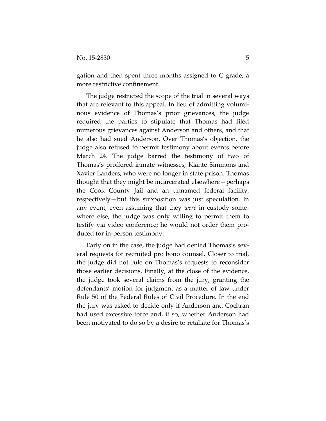gation and then spent three months assigned to C grade, a more restrictive confinement.

The judge restricted the scope of the trial in several ways that are relevant to this appeal. In lieu of admitting voluminous evidence of Thomas's prior grievances, the judge required the parties to stipulate that Thomas had filed numerous grievances against Anderson and others, and that he also had sued Anderson. Over Thomas's objection, the judge also refused to permit testimony about events before March 24. The judge barred the testimony of two of Thomas's proffered inmate witnesses, Kiante Simmons and Xavier Landers, who were no longer in state prison. Thomas thought that they might be incarcerated elsewhere—perhaps the Cook County Jail and an unnamed federal facility, respectively—but this supposition was just speculation. In any event, even assuming that they *were* in custody somewhere else, the judge was only willing to permit them to testify via video conference; he would not order them produced for in-person testimony.

Early on in the case, the judge had denied Thomas's several requests for recruited pro bono counsel. Closer to trial, the judge did not rule on Thomas's requests to reconsider those earlier decisions. Finally, at the close of the evidence, the judge took several claims from the jury, granting the defendants' motion for judgment as a matter of law under Rule 50 of the Federal Rules of Civil Procedure. In the end the jury was asked to decide only if Anderson and Cochran had used excessive force and, if so, whether Anderson had been motivated to do so by a desire to retaliate for Thomas's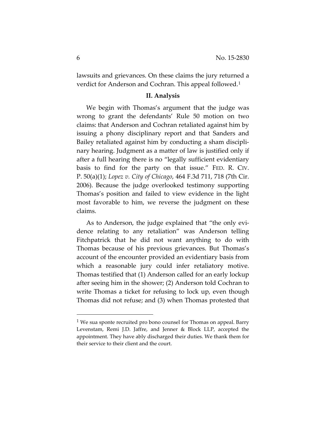lawsuits and grievances. On these claims the jury returned a verdict for Anderson and Cochran. This appeal followed.[1](#page-5-0)

#### **II. Analysis**

We begin with Thomas's argument that the judge was wrong to grant the defendants' Rule 50 motion on two claims: that Anderson and Cochran retaliated against him by issuing a phony disciplinary report and that Sanders and Bailey retaliated against him by conducting a sham disciplinary hearing. Judgment as a matter of law is justified only if after a full hearing there is no "legally sufficient evidentiary basis to find for the party on that issue." FED. R. CIV. P. 50(a)(1); *Lopez v. City of Chicago*, 464 F.3d 711, 718 (7th Cir. 2006). Because the judge overlooked testimony supporting Thomas's position and failed to view evidence in the light most favorable to him, we reverse the judgment on these claims.

As to Anderson, the judge explained that "the only evidence relating to any retaliation" was Anderson telling Fitchpatrick that he did not want anything to do with Thomas because of his previous grievances. But Thomas's account of the encounter provided an evidentiary basis from which a reasonable jury could infer retaliatory motive. Thomas testified that (1) Anderson called for an early lockup after seeing him in the shower; (2) Anderson told Cochran to write Thomas a ticket for refusing to lock up, even though Thomas did not refuse; and (3) when Thomas protested that

<span id="page-5-0"></span><sup>&</sup>lt;sup>1</sup> We sua sponte recruited pro bono counsel for Thomas on appeal. Barry Levenstam, Remi J.D. Jaffre, and Jenner & Block LLP, accepted the appointment. They have ably discharged their duties. We thank them for their service to their client and the court.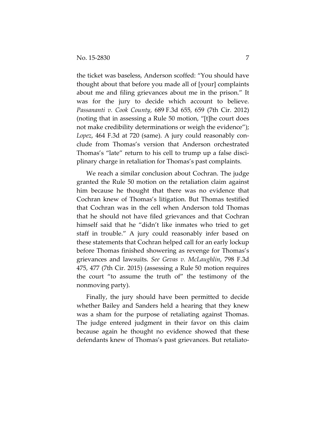the ticket was baseless, Anderson scoffed: "You should have thought about that before you made all of [your] complaints about me and filing grievances about me in the prison." It was for the jury to decide which account to believe. *Passananti v. Cook County*, 689 F.3d 655, 659 (7th Cir. 2012) (noting that in assessing a Rule 50 motion, "[t]he court does not make credibility determinations or weigh the evidence"); *Lopez*, 464 F.3d at 720 (same). A jury could reasonably conclude from Thomas's version that Anderson orchestrated Thomas's "late" return to his cell to trump up a false disciplinary charge in retaliation for Thomas's past complaints.

We reach a similar conclusion about Cochran. The judge granted the Rule 50 motion on the retaliation claim against him because he thought that there was no evidence that Cochran knew of Thomas's litigation. But Thomas testified that Cochran was in the cell when Anderson told Thomas that he should not have filed grievances and that Cochran himself said that he "didn't like inmates who tried to get staff in trouble." A jury could reasonably infer based on these statements that Cochran helped call for an early lockup before Thomas finished showering as revenge for Thomas's grievances and lawsuits. *See Gevas v. McLaughlin*, 798 F.3d 475, 477 (7th Cir. 2015) (assessing a Rule 50 motion requires the court "to assume the truth of" the testimony of the nonmoving party).

Finally, the jury should have been permitted to decide whether Bailey and Sanders held a hearing that they knew was a sham for the purpose of retaliating against Thomas. The judge entered judgment in their favor on this claim because again he thought no evidence showed that these defendants knew of Thomas's past grievances. But retaliato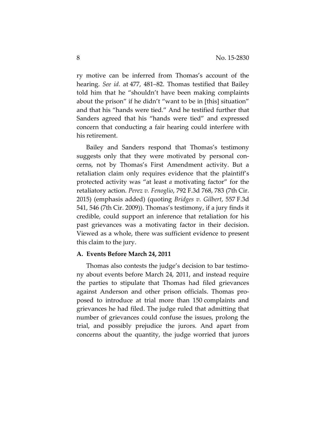ry motive can be inferred from Thomas's account of the hearing. *See id.* at 477, 481–82. Thomas testified that Bailey told him that he "shouldn't have been making complaints about the prison" if he didn't "want to be in [this] situation" and that his "hands were tied." And he testified further that Sanders agreed that his "hands were tied" and expressed concern that conducting a fair hearing could interfere with his retirement.

Bailey and Sanders respond that Thomas's testimony suggests only that they were motivated by personal concerns, not by Thomas's First Amendment activity. But a retaliation claim only requires evidence that the plaintiff's protected activity was "at least *a* motivating factor" for the retaliatory action. *Perez v. Fenoglio*, 792 F.3d 768, 783 (7th Cir. 2015) (emphasis added) (quoting *Bridges v. Gilbert*, 557 F.3d 541, 546 (7th Cir. 2009)). Thomas's testimony, if a jury finds it credible, could support an inference that retaliation for his past grievances was a motivating factor in their decision. Viewed as a whole, there was sufficient evidence to present this claim to the jury.

#### **A. Events Before March 24, 2011**

Thomas also contests the judge's decision to bar testimony about events before March 24, 2011, and instead require the parties to stipulate that Thomas had filed grievances against Anderson and other prison officials. Thomas proposed to introduce at trial more than 150 complaints and grievances he had filed. The judge ruled that admitting that number of grievances could confuse the issues, prolong the trial, and possibly prejudice the jurors. And apart from concerns about the quantity, the judge worried that jurors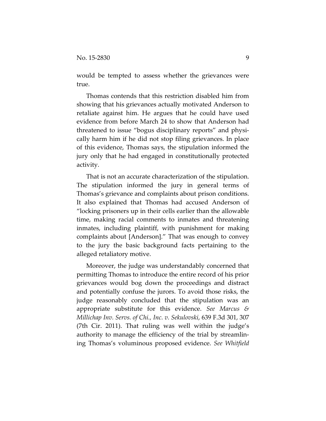would be tempted to assess whether the grievances were true.

Thomas contends that this restriction disabled him from showing that his grievances actually motivated Anderson to retaliate against him. He argues that he could have used evidence from before March 24 to show that Anderson had threatened to issue "bogus disciplinary reports" and physically harm him if he did not stop filing grievances. In place of this evidence, Thomas says, the stipulation informed the jury only that he had engaged in constitutionally protected activity.

That is not an accurate characterization of the stipulation. The stipulation informed the jury in general terms of Thomas's grievance and complaints about prison conditions. It also explained that Thomas had accused Anderson of "locking prisoners up in their cells earlier than the allowable time, making racial comments to inmates and threatening inmates, including plaintiff, with punishment for making complaints about [Anderson]." That was enough to convey to the jury the basic background facts pertaining to the alleged retaliatory motive.

Moreover, the judge was understandably concerned that permitting Thomas to introduce the entire record of his prior grievances would bog down the proceedings and distract and potentially confuse the jurors. To avoid those risks, the judge reasonably concluded that the stipulation was an appropriate substitute for this evidence. *See Marcus & Millichap Inv. Servs. of Chi., Inc. v. Sekulovski*, 639 F.3d 301, 307 (7th Cir. 2011). That ruling was well within the judge's authority to manage the efficiency of the trial by streamlining Thomas's voluminous proposed evidence. *See Whitfield*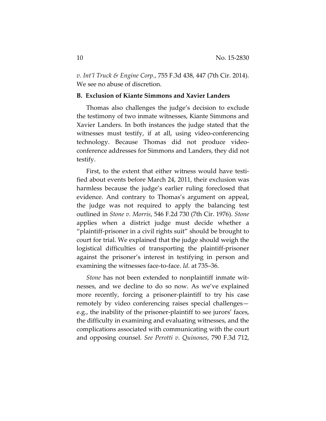*v. Int'l Truck & Engine Corp.*, 755 F.3d 438, 447 (7th Cir. 2014). We see no abuse of discretion.

## **B.****Exclusion of Kiante Simmons and Xavier Landers**

Thomas also challenges the judge's decision to exclude the testimony of two inmate witnesses, Kiante Simmons and Xavier Landers. In both instances the judge stated that the witnesses must testify, if at all, using video-conferencing technology. Because Thomas did not produce videoconference addresses for Simmons and Landers, they did not testify.

First, to the extent that either witness would have testified about events before March 24, 2011, their exclusion was harmless because the judge's earlier ruling foreclosed that evidence. And contrary to Thomas's argument on appeal, the judge was not required to apply the balancing test outlined in *Stone v. Morris*, 546 F.2d 730 (7th Cir. 1976). *Stone* applies when a district judge must decide whether a "plaintiff-prisoner in a civil rights suit" should be brought to court for trial. We explained that the judge should weigh the logistical difficulties of transporting the plaintiff-prisoner against the prisoner's interest in testifying in person and examining the witnesses face-to-face. *Id.* at 735–36.

*Stone* has not been extended to nonplaintiff inmate witnesses, and we decline to do so now. As we've explained more recently, forcing a prisoner-plaintiff to try his case remotely by video conferencing raises special challenges e.g., the inability of the prisoner-plaintiff to see jurors' faces, the difficulty in examining and evaluating witnesses, and the complications associated with communicating with the court and opposing counsel. *See Perotti v. Quinones*, 790 F.3d 712,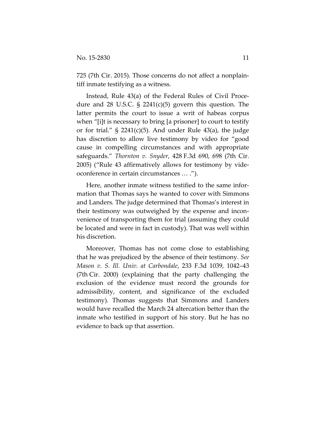725 (7th Cir. 2015). Those concerns do not affect a nonplaintiff inmate testifying as a witness.

Instead, Rule 43(a) of the Federal Rules of Civil Procedure and 28 U.S.C.  $\S$  2241(c)(5) govern this question. The latter permits the court to issue a writ of habeas corpus when "[i]t is necessary to bring [a prisoner] to court to testify or for trial."  $\S$  2241(c)(5). And under Rule 43(a), the judge has discretion to allow live testimony by video for "good cause in compelling circumstances and with appropriate safeguards." *Thornton v. Snyder*, 428 F.3d 690, 698 (7th Cir. 2005) ("Rule 43 affirmatively allows for testimony by videoconference in certain circumstances … .").

Here, another inmate witness testified to the same information that Thomas says he wanted to cover with Simmons and Landers. The judge determined that Thomas's interest in their testimony was outweighed by the expense and inconvenience of transporting them for trial (assuming they could be located and were in fact in custody). That was well within his discretion.

Moreover, Thomas has not come close to establishing that he was prejudiced by the absence of their testimony. *See Mason v. S. Ill. Univ. at Carbondale*, 233 F.3d 1039, 1042–43 (7th Cir. 2000) (explaining that the party challenging the exclusion of the evidence must record the grounds for admissibility, content, and significance of the excluded testimony). Thomas suggests that Simmons and Landers would have recalled the March 24 altercation better than the inmate who testified in support of his story. But he has no evidence to back up that assertion.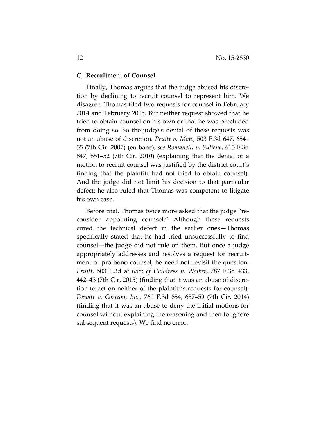#### **C. Recruitment of Counsel**

Finally, Thomas argues that the judge abused his discretion by declining to recruit counsel to represent him. We disagree. Thomas filed two requests for counsel in February 2014 and February 2015. But neither request showed that he tried to obtain counsel on his own or that he was precluded from doing so. So the judge's denial of these requests was not an abuse of discretion. *Pruitt v. Mote*, 503 F.3d 647, 654– 55 (7th Cir. 2007) (en banc); *see Romanelli v. Suliene*, 615 F.3d 847, 851–52 (7th Cir. 2010) (explaining that the denial of a motion to recruit counsel was justified by the district court's finding that the plaintiff had not tried to obtain counsel). And the judge did not limit his decision to that particular defect; he also ruled that Thomas was competent to litigate his own case.

Before trial, Thomas twice more asked that the judge "reconsider appointing counsel." Although these requests cured the technical defect in the earlier ones—Thomas specifically stated that he had tried unsuccessfully to find counsel—the judge did not rule on them. But once a judge appropriately addresses and resolves a request for recruitment of pro bono counsel, he need not revisit the question. *Pruitt*, 503 F.3d at 658; *cf. Childress v. Walker*, 787 F.3d 433, 442–43 (7th Cir. 2015) (finding that it was an abuse of discretion to act on neither of the plaintiff's requests for counsel); *Dewitt v. Corizon, Inc.*, 760 F.3d 654, 657–59 (7th Cir. 2014) (finding that it was an abuse to deny the initial motions for counsel without explaining the reasoning and then to ignore subsequent requests). We find no error.